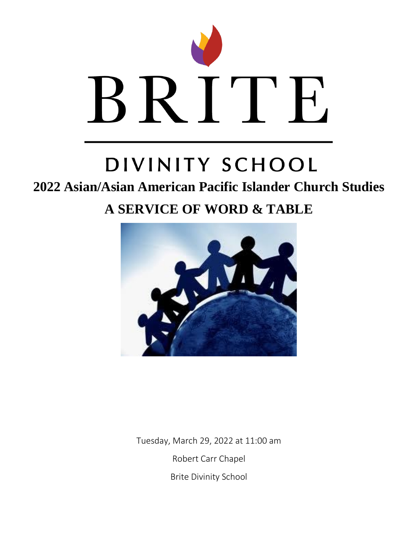

# DIVINITY SCHOOL

### **2022 Asian/Asian American Pacific Islander Church Studies**

## **A SERVICE OF WORD & TABLE**



Tuesday, March 29, 2022 at 11:00 am Robert Carr Chapel Brite Divinity School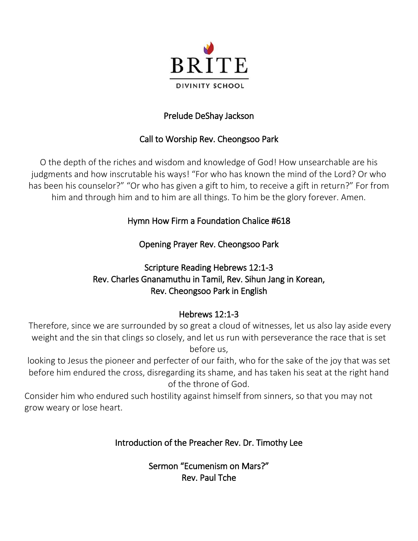

#### Prelude DeShay Jackson

#### Call to Worship Rev. Cheongsoo Park

O the depth of the riches and wisdom and knowledge of God! How unsearchable are his judgments and how inscrutable his ways! "For who has known the mind of the Lord? Or who has been his counselor?" "Or who has given a gift to him, to receive a gift in return?" For from him and through him and to him are all things. To him be the glory forever. Amen.

#### Hymn How Firm a Foundation Chalice #618

Opening Prayer Rev. Cheongsoo Park

#### Scripture Reading Hebrews 12:1-3 Rev. Charles Gnanamuthu in Tamil, Rev. Sihun Jang in Korean, Rev. Cheongsoo Park in English

#### Hebrews 12:1-3

Therefore, since we are surrounded by so great a cloud of witnesses, let us also lay aside every weight and the sin that clings so closely, and let us run with perseverance the race that is set before us,

looking to Jesus the pioneer and perfecter of our faith, who for the sake of the joy that was set before him endured the cross, disregarding its shame, and has taken his seat at the right hand of the throne of God.

Consider him who endured such hostility against himself from sinners, so that you may not grow weary or lose heart.

#### Introduction of the Preacher Rev. Dr. Timothy Lee

Sermon "Ecumenism on Mars?" Rev. Paul Tche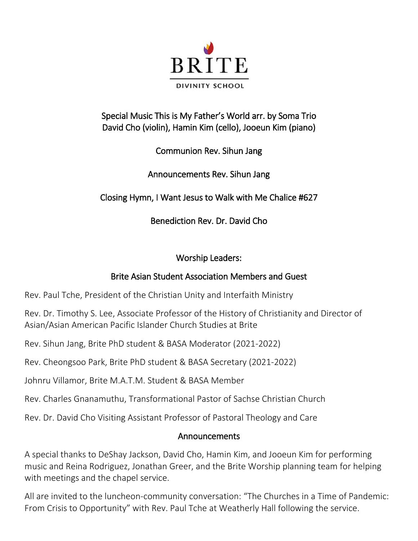

#### Special Music This is My Father's World arr. by Soma Trio David Cho (violin), Hamin Kim (cello), Jooeun Kim (piano)

Communion Rev. Sihun Jang

Announcements Rev. Sihun Jang

Closing Hymn, I Want Jesus to Walk with Me Chalice #627

Benediction Rev. Dr. David Cho

#### Worship Leaders:

#### Brite Asian Student Association Members and Guest

Rev. Paul Tche, President of the Christian Unity and Interfaith Ministry

Rev. Dr. Timothy S. Lee, Associate Professor of the History of Christianity and Director of Asian/Asian American Pacific Islander Church Studies at Brite

Rev. Sihun Jang, Brite PhD student & BASA Moderator (2021-2022)

Rev. Cheongsoo Park, Brite PhD student & BASA Secretary (2021-2022)

Johnru Villamor, Brite M.A.T.M. Student & BASA Member

Rev. Charles Gnanamuthu, Transformational Pastor of Sachse Christian Church

Rev. Dr. David Cho Visiting Assistant Professor of Pastoral Theology and Care

#### Announcements

A special thanks to DeShay Jackson, David Cho, Hamin Kim, and Jooeun Kim for performing music and Reina Rodriguez, Jonathan Greer, and the Brite Worship planning team for helping with meetings and the chapel service.

All are invited to the luncheon-community conversation: "The Churches in a Time of Pandemic: From Crisis to Opportunity" with Rev. Paul Tche at Weatherly Hall following the service.